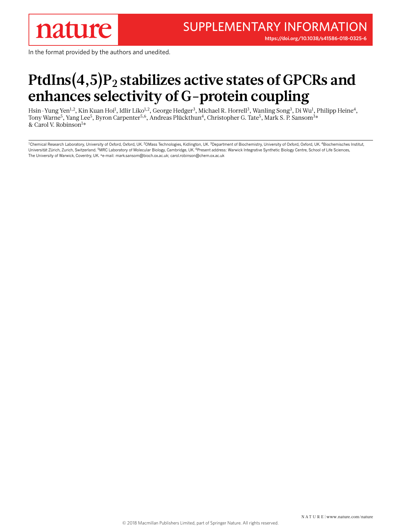**<https://doi.org/10.1038/s41586-018-0325-6>**

In the format provided by the authors and unedited.

# PtdIns(4,5)P<sub>2</sub> stabilizes active states of GPCRs and **enhances selectivity of G-protein coupling**

Hsin-Yung Yen<sup>1,2</sup>, Kin Kuan Hoi<sup>1</sup>, Idlir Liko<sup>1,2</sup>, George Hedger<sup>3</sup>, Michael R. Horrell<sup>3</sup>, Wanling Song<sup>3</sup>, Di Wu<sup>1</sup>, Philipp Heine<sup>4</sup>, Tony Warne<sup>5</sup>, Yang Lee<sup>5</sup>, Byron Carpenter<sup>5,6</sup>, Andreas Plückthun<sup>4</sup>, Christopher G. Tate<sup>5</sup>, Mark S. P. Sansom<sup>3</sup>\* & Carol V. Robinson<sup>1</sup>\*

<sup>1</sup>Chemical Research Laboratory, University of Oxford, Oxford, UK. <sup>2</sup>OMass Technologies, Kidlington, UK. <sup>3</sup>Department of Biochemistry, University of Oxford, Oxford, UK. <sup>4</sup>Biochemisches Institut, Universität Zürich, Zurich, Switzerland. <sup>5</sup>MRC Laboratory of Molecular Biology, Cambridge, UK. <sup>6</sup>Present address: Warwick Integrative Synthetic Biology Centre, School of Life Sciences, The University of Warwick, Coventry, UK. \*e-mail: [mark.sansom@bioch.ox.ac.uk;](mailto:mark.sansom@bioch.ox.ac.uk) [carol.robinson@chem.ox.ac.uk](mailto:carol.robinson@chem.ox.ac.uk)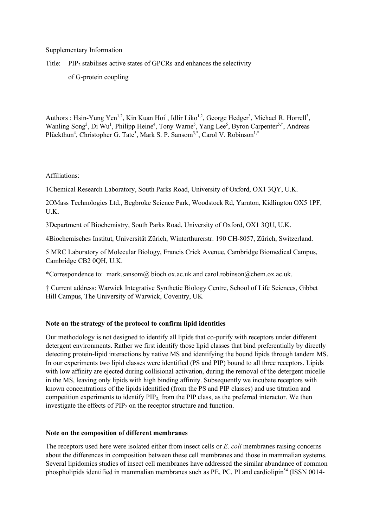Supplementary Information

Title: PIP2 stabilises active states of GPCRs and enhances the selectivity

of G-protein coupling

Authors : Hsin-Yung Yen<sup>1,2</sup>, Kin Kuan Hoi<sup>1</sup>, Idlir Liko<sup>1,2</sup>, George Hedger<sup>3</sup>, Michael R. Horrell<sup>3</sup>, Wanling Song<sup>3</sup>, Di Wu<sup>1</sup>, Philipp Heine<sup>4</sup>, Tony Warne<sup>5</sup>, Yang Lee<sup>5</sup>, Byron Carpenter<sup>5,†</sup>, Andreas Plückthun<sup>4</sup>, Christopher G. Tate<sup>5</sup>, Mark S. P. Sansom<sup>3,\*</sup>, Carol V. Robinson<sup>1,\*</sup>

Affiliations:

1Chemical Research Laboratory, South Parks Road, University of Oxford, OX1 3QY, U.K.

2OMass Technologies Ltd., Begbroke Science Park, Woodstock Rd, Yarnton, Kidlington OX5 1PF, U.K.

3Department of Biochemistry, South Parks Road, University of Oxford, OX1 3QU, U.K.

4Biochemisches Institut, Universität Zürich, Winterthurerstr. 190 CH-8057, Zürich, Switzerland.

5 MRC Laboratory of Molecular Biology, Francis Crick Avenue, Cambridge Biomedical Campus, Cambridge CB2 0QH, U.K.

\*Correspondence to: mark.sansom@ bioch.ox.ac.uk and carol.robinson@chem.ox.ac.uk.

† Current address: Warwick Integrative Synthetic Biology Centre, School of Life Sciences, Gibbet Hill Campus, The University of Warwick, Coventry, UK

## **Note on the strategy of the protocol to confirm lipid identities**

Our methodology is not designed to identify all lipids that co-purify with receptors under different detergent environments. Rather we first identify those lipid classes that bind preferentially by directly detecting protein-lipid interactions by native MS and identifying the bound lipids through tandem MS. In our experiments two lipid classes were identified (PS and PIP) bound to all three receptors. Lipids with low affinity are ejected during collisional activation, during the removal of the detergent micelle in the MS, leaving only lipids with high binding affinity. Subsequently we incubate receptors with known concentrations of the lipids identified (from the PS and PIP classes) and use titration and competition experiments to identify PIP<sub>2</sub>, from the PIP class, as the preferred interactor. We then investigate the effects of  $PIP_2$  on the receptor structure and function.

#### **Note on the composition of different membranes**

The receptors used here were isolated either from insect cells or *E. coli* membranes raising concerns about the differences in composition between these cell membranes and those in mammalian systems. Several lipidomics studies of insect cell membranes have addressed the similar abundance of common phospholipids identified in mammalian membranes such as  $PE$ ,  $PC$ ,  $PI$  and cardiolipin<sup>54</sup> (ISSN 0014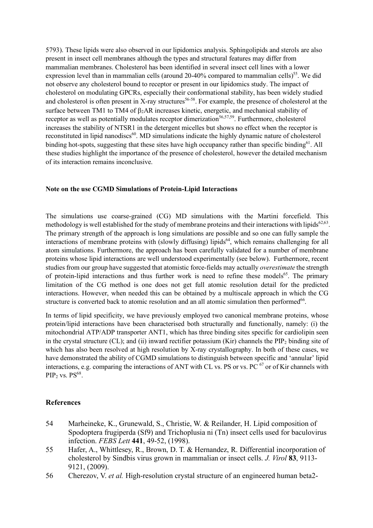5793). These lipids were also observed in our lipidomics analysis. Sphingolipids and sterols are also present in insect cell membranes although the types and structural features may differ from mammalian membranes. Cholesterol has been identified in several insect cell lines with a lower expression level than in mammalian cells (around  $20-40\%$  compared to mammalian cells)<sup>55</sup>. We did not observe any cholesterol bound to receptor or present in our lipidomics study. The impact of cholesterol on modulating GPCRs, especially their conformational stability, has been widely studied and cholesterol is often present in X-ray structures<sup>56-58</sup>. For example, the presence of cholesterol at the surface between TM1 to TM4 of  $\beta_2AR$  increases kinetic, energetic, and mechanical stability of receptor as well as potentially modulates receptor dimerization<sup>56,57,59</sup>. Furthermore, cholesterol increases the stability of NTSR1 in the detergent micelles but shows no effect when the receptor is reconstituted in lipid nanodiscs<sup>60</sup>. MD simulations indicate the highly dynamic nature of cholesterol binding hot-spots, suggesting that these sites have high occupancy rather than specific binding<sup>61</sup>. All these studies highlight the importance of the presence of cholesterol, however the detailed mechanism of its interaction remains inconclusive.

### **Note on the use CGMD Simulations of Protein-Lipid Interactions**

The simulations use coarse-grained (CG) MD simulations with the Martini forcefield. This methodology is well established for the study of membrane proteins and their interactions with lipids<sup>62,63</sup>. The primary strength of the approach is long simulations are possible and so one can fully sample the interactions of membrane proteins with (slowly diffusing) lipids<sup>64</sup>, which remains challenging for all atom simulations. Furthermore, the approach has been carefully validated for a number of membrane proteins whose lipid interactions are well understood experimentally (see below). Furthermore, recent studies from our group have suggested that atomistic force-fields may actually *overestimate* the strength of protein-lipid interactions and thus further work is need to refine these models<sup>65</sup>. The primary limitation of the CG method is one does not get full atomic resolution detail for the predicted interactions. However, when needed this can be obtained by a multiscale approach in which the CG structure is converted back to atomic resolution and an all atomic simulation then performed<sup>66</sup>.

In terms of lipid specificity, we have previously employed two canonical membrane proteins, whose protein/lipid interactions have been characterised both structurally and functionally, namely: (i) the mitochondrial ATP/ADP transporter ANT1, which has three binding sites specific for cardiolipin seen in the crystal structure (CL); and (ii) inward rectifier potassium (Kir) channels the PIP<sub>2</sub> binding site of which has also been resolved at high resolution by X-ray crystallography. In both of these cases, we have demonstrated the ability of CGMD simulations to distinguish between specific and 'annular' lipid interactions, e.g. comparing the interactions of ANT with CL vs. PS or vs. PC <sup>67</sup> or of Kir channels with  $PIP<sub>2</sub>$  vs.  $PS<sup>68</sup>$ .

## **References**

- 54 Marheineke, K., Grunewald, S., Christie, W. & Reilander, H. Lipid composition of Spodoptera frugiperda (Sf9) and Trichoplusia ni (Tn) insect cells used for baculovirus infection. *FEBS Lett* **441**, 49-52, (1998).
- 55 Hafer, A., Whittlesey, R., Brown, D. T. & Hernandez, R. Differential incorporation of cholesterol by Sindbis virus grown in mammalian or insect cells. *J. Virol* **83**, 9113- 9121, (2009).
- 56 Cherezov, V. *et al.* High-resolution crystal structure of an engineered human beta2-